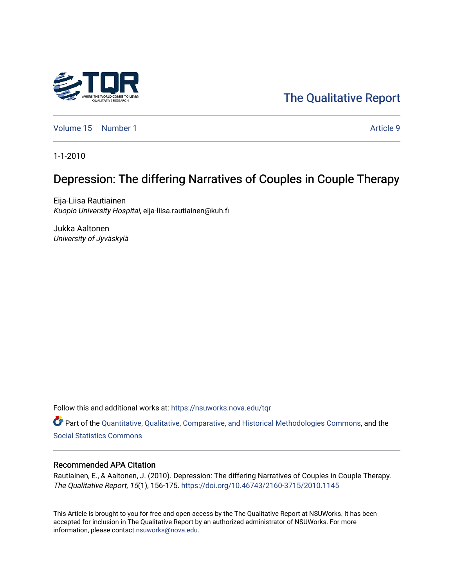

[Volume 15](https://nsuworks.nova.edu/tqr/vol15) [Number 1](https://nsuworks.nova.edu/tqr/vol15/iss1) Article 9

1-1-2010

# Depression: The differing Narratives of Couples in Couple Therapy

Eija-Liisa Rautiainen Kuopio University Hospital, eija-liisa.rautiainen@kuh.fi

Jukka Aaltonen University of Jyväskylä

Follow this and additional works at: [https://nsuworks.nova.edu/tqr](https://nsuworks.nova.edu/tqr?utm_source=nsuworks.nova.edu%2Ftqr%2Fvol15%2Fiss1%2F9&utm_medium=PDF&utm_campaign=PDFCoverPages) 

Part of the [Quantitative, Qualitative, Comparative, and Historical Methodologies Commons,](http://network.bepress.com/hgg/discipline/423?utm_source=nsuworks.nova.edu%2Ftqr%2Fvol15%2Fiss1%2F9&utm_medium=PDF&utm_campaign=PDFCoverPages) and the [Social Statistics Commons](http://network.bepress.com/hgg/discipline/1275?utm_source=nsuworks.nova.edu%2Ftqr%2Fvol15%2Fiss1%2F9&utm_medium=PDF&utm_campaign=PDFCoverPages) 

### Recommended APA Citation

Rautiainen, E., & Aaltonen, J. (2010). Depression: The differing Narratives of Couples in Couple Therapy. The Qualitative Report, 15(1), 156-175. <https://doi.org/10.46743/2160-3715/2010.1145>

This Article is brought to you for free and open access by the The Qualitative Report at NSUWorks. It has been accepted for inclusion in The Qualitative Report by an authorized administrator of NSUWorks. For more information, please contact [nsuworks@nova.edu.](mailto:nsuworks@nova.edu)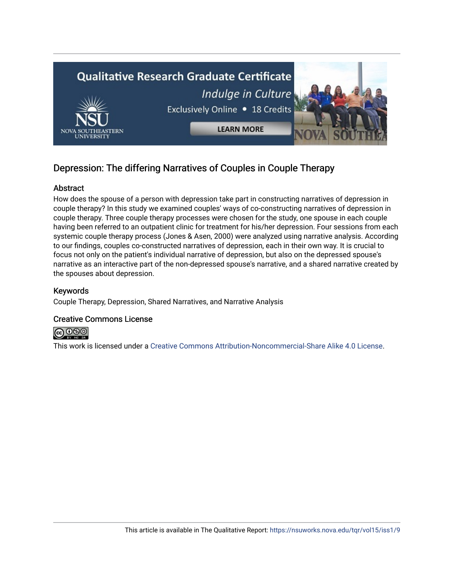

# Depression: The differing Narratives of Couples in Couple Therapy

# Abstract

How does the spouse of a person with depression take part in constructing narratives of depression in couple therapy? In this study we examined couples' ways of co-constructing narratives of depression in couple therapy. Three couple therapy processes were chosen for the study, one spouse in each couple having been referred to an outpatient clinic for treatment for his/her depression. Four sessions from each systemic couple therapy process (Jones & Asen, 2000) were analyzed using narrative analysis. According to our findings, couples co-constructed narratives of depression, each in their own way. It is crucial to focus not only on the patient's individual narrative of depression, but also on the depressed spouse's narrative as an interactive part of the non-depressed spouse's narrative, and a shared narrative created by the spouses about depression.

# Keywords

Couple Therapy, Depression, Shared Narratives, and Narrative Analysis

## Creative Commons License



This work is licensed under a [Creative Commons Attribution-Noncommercial-Share Alike 4.0 License](https://creativecommons.org/licenses/by-nc-sa/4.0/).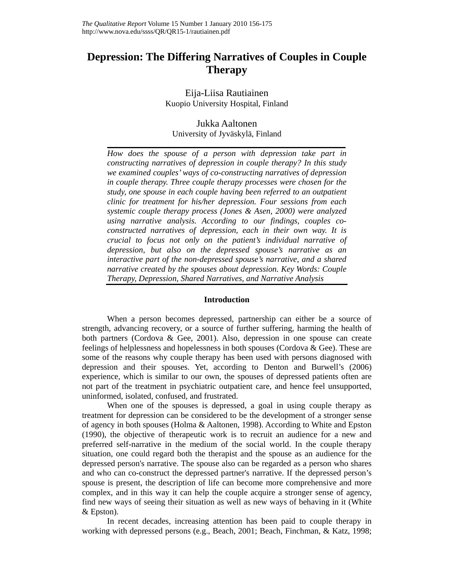# **Depression: The Differing Narratives of Couples in Couple Therapy**

Eija-Liisa Rautiainen Kuopio University Hospital, Finland

# Jukka Aaltonen

University of Jyväskylä, Finland

*How does the spouse of a person with depression take part in constructing narratives of depression in couple therapy? In this study we examined couples' ways of co-constructing narratives of depression in couple therapy. Three couple therapy processes were chosen for the study, one spouse in each couple having been referred to an outpatient clinic for treatment for his/her depression. Four sessions from each systemic couple therapy process (Jones & Asen, 2000) were analyzed using narrative analysis. According to our findings, couples coconstructed narratives of depression, each in their own way. It is crucial to focus not only on the patient's individual narrative of depression, but also on the depressed spouse's narrative as an interactive part of the non-depressed spouse's narrative, and a shared narrative created by the spouses about depression. Key Words: Couple Therapy, Depression, Shared Narratives, and Narrative Analysis* 

### **Introduction**

When a person becomes depressed, partnership can either be a source of strength, advancing recovery, or a source of further suffering, harming the health of both partners (Cordova & Gee, 2001). Also, depression in one spouse can create feelings of helplessness and hopelessness in both spouses (Cordova & Gee). These are some of the reasons why couple therapy has been used with persons diagnosed with depression and their spouses. Yet, according to Denton and Burwell's (2006) experience, which is similar to our own, the spouses of depressed patients often are not part of the treatment in psychiatric outpatient care, and hence feel unsupported, uninformed, isolated, confused, and frustrated.

When one of the spouses is depressed, a goal in using couple therapy as treatment for depression can be considered to be the development of a stronger sense of agency in both spouses (Holma & Aaltonen, 1998). According to White and Epston (1990), the objective of therapeutic work is to recruit an audience for a new and preferred self-narrative in the medium of the social world. In the couple therapy situation, one could regard both the therapist and the spouse as an audience for the depressed person's narrative. The spouse also can be regarded as a person who shares and who can co-construct the depressed partner's narrative. If the depressed person's spouse is present, the description of life can become more comprehensive and more complex, and in this way it can help the couple acquire a stronger sense of agency, find new ways of seeing their situation as well as new ways of behaving in it (White & Epston).

 In recent decades, increasing attention has been paid to couple therapy in working with depressed persons (e.g., Beach, 2001; Beach, Finchman, & Katz, 1998;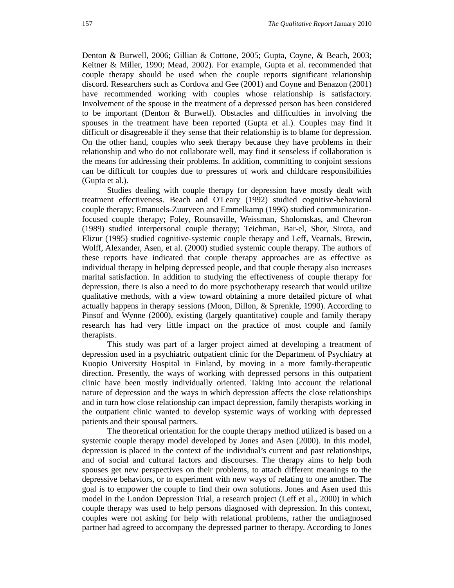Denton & Burwell, 2006; Gillian & Cottone, 2005; Gupta, Coyne, & Beach, 2003; Keitner & Miller, 1990; Mead, 2002). For example, Gupta et al. recommended that couple therapy should be used when the couple reports significant relationship discord. Researchers such as Cordova and Gee (2001) and Coyne and Benazon (2001) have recommended working with couples whose relationship is satisfactory. Involvement of the spouse in the treatment of a depressed person has been considered to be important (Denton & Burwell). Obstacles and difficulties in involving the spouses in the treatment have been reported (Gupta et al.). Couples may find it difficult or disagreeable if they sense that their relationship is to blame for depression. On the other hand, couples who seek therapy because they have problems in their relationship and who do not collaborate well, may find it senseless if collaboration is the means for addressing their problems. In addition, committing to conjoint sessions can be difficult for couples due to pressures of work and childcare responsibilities (Gupta et al.).

Studies dealing with couple therapy for depression have mostly dealt with treatment effectiveness. Beach and O'Leary (1992) studied cognitive-behavioral couple therapy; Emanuels-Zuurveen and Emmelkamp (1996) studied communicationfocused couple therapy; Foley, Rounsaville, Weissman, Sholomskas, and Chevron (1989) studied interpersonal couple therapy; Teichman, Bar-el, Shor, Sirota, and Elizur (1995) studied cognitive-systemic couple therapy and Leff, Vearnals, Brewin, Wolff, Alexander, Asen, et al. (2000) studied systemic couple therapy. The authors of these reports have indicated that couple therapy approaches are as effective as individual therapy in helping depressed people, and that couple therapy also increases marital satisfaction. In addition to studying the effectiveness of couple therapy for depression, there is also a need to do more psychotherapy research that would utilize qualitative methods, with a view toward obtaining a more detailed picture of what actually happens in therapy sessions (Moon, Dillon, & Sprenkle, 1990). According to Pinsof and Wynne (2000), existing (largely quantitative) couple and family therapy research has had very little impact on the practice of most couple and family therapists.

 This study was part of a larger project aimed at developing a treatment of depression used in a psychiatric outpatient clinic for the Department of Psychiatry at Kuopio University Hospital in Finland, by moving in a more family-therapeutic direction. Presently, the ways of working with depressed persons in this outpatient clinic have been mostly individually oriented. Taking into account the relational nature of depression and the ways in which depression affects the close relationships and in turn how close relationship can impact depression, family therapists working in the outpatient clinic wanted to develop systemic ways of working with depressed patients and their spousal partners.

 The theoretical orientation for the couple therapy method utilized is based on a systemic couple therapy model developed by Jones and Asen (2000). In this model, depression is placed in the context of the individual's current and past relationships, and of social and cultural factors and discourses. The therapy aims to help both spouses get new perspectives on their problems, to attach different meanings to the depressive behaviors, or to experiment with new ways of relating to one another. The goal is to empower the couple to find their own solutions. Jones and Asen used this model in the London Depression Trial, a research project (Leff et al., 2000) in which couple therapy was used to help persons diagnosed with depression. In this context, couples were not asking for help with relational problems, rather the undiagnosed partner had agreed to accompany the depressed partner to therapy. According to Jones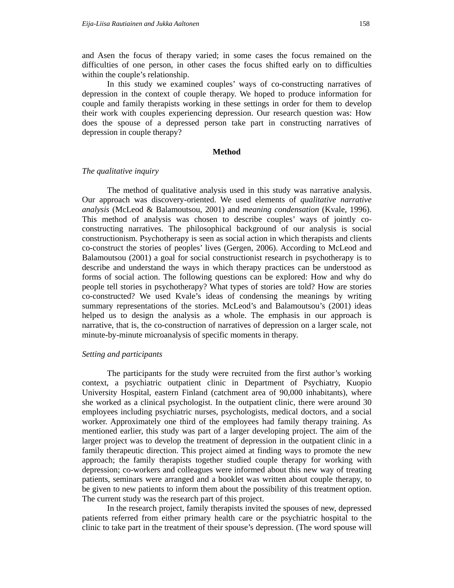and Asen the focus of therapy varied; in some cases the focus remained on the difficulties of one person, in other cases the focus shifted early on to difficulties within the couple's relationship.

 In this study we examined couples' ways of co-constructing narratives of depression in the context of couple therapy. We hoped to produce information for couple and family therapists working in these settings in order for them to develop their work with couples experiencing depression. Our research question was: How does the spouse of a depressed person take part in constructing narratives of depression in couple therapy?

#### **Method**

#### *The qualitative inquiry*

The method of qualitative analysis used in this study was narrative analysis. Our approach was discovery-oriented. We used elements of *qualitative narrative analysis* (McLeod & Balamoutsou, 2001) and *meaning condensation* (Kvale, 1996). This method of analysis was chosen to describe couples' ways of jointly coconstructing narratives. The philosophical background of our analysis is social constructionism. Psychotherapy is seen as social action in which therapists and clients co-construct the stories of peoples' lives (Gergen, 2006). According to McLeod and Balamoutsou (2001) a goal for social constructionist research in psychotherapy is to describe and understand the ways in which therapy practices can be understood as forms of social action. The following questions can be explored: How and why do people tell stories in psychotherapy? What types of stories are told? How are stories co-constructed? We used Kvale's ideas of condensing the meanings by writing summary representations of the stories. McLeod's and Balamoutsou's (2001) ideas helped us to design the analysis as a whole. The emphasis in our approach is narrative, that is, the co-construction of narratives of depression on a larger scale, not minute-by-minute microanalysis of specific moments in therapy.

#### *Setting and participants*

The participants for the study were recruited from the first author's working context, a psychiatric outpatient clinic in Department of Psychiatry, Kuopio University Hospital, eastern Finland (catchment area of 90,000 inhabitants), where she worked as a clinical psychologist. In the outpatient clinic, there were around 30 employees including psychiatric nurses, psychologists, medical doctors, and a social worker. Approximately one third of the employees had family therapy training. As mentioned earlier, this study was part of a larger developing project. The aim of the larger project was to develop the treatment of depression in the outpatient clinic in a family therapeutic direction. This project aimed at finding ways to promote the new approach; the family therapists together studied couple therapy for working with depression; co-workers and colleagues were informed about this new way of treating patients, seminars were arranged and a booklet was written about couple therapy, to be given to new patients to inform them about the possibility of this treatment option. The current study was the research part of this project.

 In the research project, family therapists invited the spouses of new, depressed patients referred from either primary health care or the psychiatric hospital to the clinic to take part in the treatment of their spouse's depression. (The word spouse will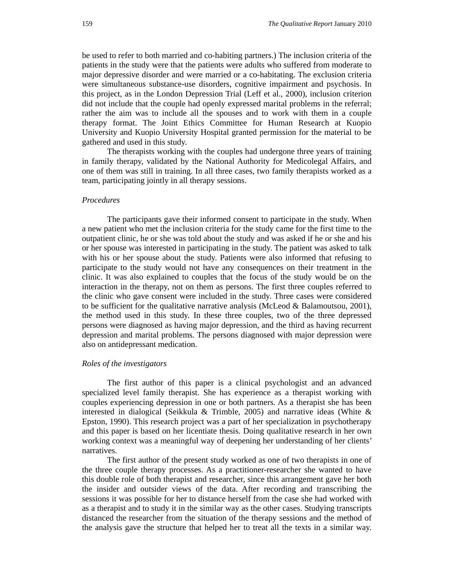be used to refer to both married and co-habiting partners.) The inclusion criteria of the patients in the study were that the patients were adults who suffered from moderate to major depressive disorder and were married or a co-habitating. The exclusion criteria were simultaneous substance-use disorders, cognitive impairment and psychosis. In this project, as in the London Depression Trial (Leff et al., 2000), inclusion criterion did not include that the couple had openly expressed marital problems in the referral; rather the aim was to include all the spouses and to work with them in a couple therapy format. The Joint Ethics Committee for Human Research at Kuopio University and Kuopio University Hospital granted permission for the material to be gathered and used in this study.

The therapists working with the couples had undergone three years of training in family therapy, validated by the National Authority for Medicolegal Affairs, and one of them was still in training. In all three cases, two family therapists worked as a team, participating jointly in all therapy sessions.

#### *Procedures*

The participants gave their informed consent to participate in the study. When a new patient who met the inclusion criteria for the study came for the first time to the outpatient clinic, he or she was told about the study and was asked if he or she and his or her spouse was interested in participating in the study. The patient was asked to talk with his or her spouse about the study. Patients were also informed that refusing to participate to the study would not have any consequences on their treatment in the clinic. It was also explained to couples that the focus of the study would be on the interaction in the therapy, not on them as persons. The first three couples referred to the clinic who gave consent were included in the study. Three cases were considered to be sufficient for the qualitative narrative analysis (McLeod & Balamoutsou, 2001), the method used in this study. In these three couples, two of the three depressed persons were diagnosed as having major depression, and the third as having recurrent depression and marital problems. The persons diagnosed with major depression were also on antidepressant medication.

#### *Roles of the investigators*

The first author of this paper is a clinical psychologist and an advanced specialized level family therapist. She has experience as a therapist working with couples experiencing depression in one or both partners. As a therapist she has been interested in dialogical (Seikkula & Trimble, 2005) and narrative ideas (White & Epston, 1990). This research project was a part of her specialization in psychotherapy and this paper is based on her licentiate thesis. Doing qualitative research in her own working context was a meaningful way of deepening her understanding of her clients' narratives.

The first author of the present study worked as one of two therapists in one of the three couple therapy processes. As a practitioner-researcher she wanted to have this double role of both therapist and researcher, since this arrangement gave her both the insider and outsider views of the data. After recording and transcribing the sessions it was possible for her to distance herself from the case she had worked with as a therapist and to study it in the similar way as the other cases. Studying transcripts distanced the researcher from the situation of the therapy sessions and the method of the analysis gave the structure that helped her to treat all the texts in a similar way.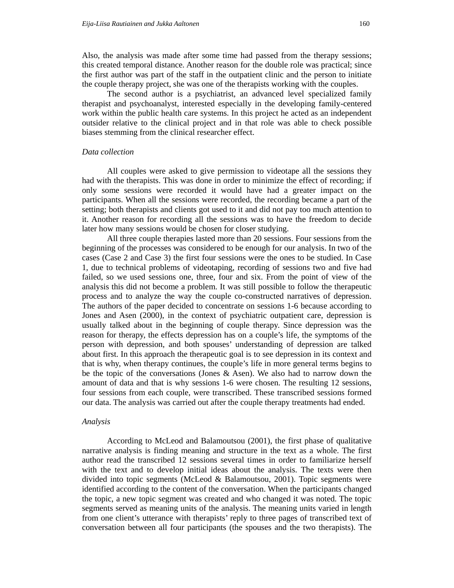Also, the analysis was made after some time had passed from the therapy sessions; this created temporal distance. Another reason for the double role was practical; since the first author was part of the staff in the outpatient clinic and the person to initiate the couple therapy project, she was one of the therapists working with the couples.

The second author is a psychiatrist, an advanced level specialized family therapist and psychoanalyst, interested especially in the developing family-centered work within the public health care systems. In this project he acted as an independent outsider relative to the clinical project and in that role was able to check possible biases stemming from the clinical researcher effect.

#### *Data collection*

All couples were asked to give permission to videotape all the sessions they had with the therapists. This was done in order to minimize the effect of recording; if only some sessions were recorded it would have had a greater impact on the participants. When all the sessions were recorded, the recording became a part of the setting; both therapists and clients got used to it and did not pay too much attention to it. Another reason for recording all the sessions was to have the freedom to decide later how many sessions would be chosen for closer studying.

All three couple therapies lasted more than 20 sessions. Four sessions from the beginning of the processes was considered to be enough for our analysis. In two of the cases (Case 2 and Case 3) the first four sessions were the ones to be studied. In Case 1, due to technical problems of videotaping, recording of sessions two and five had failed, so we used sessions one, three, four and six. From the point of view of the analysis this did not become a problem. It was still possible to follow the therapeutic process and to analyze the way the couple co-constructed narratives of depression. The authors of the paper decided to concentrate on sessions 1-6 because according to Jones and Asen (2000), in the context of psychiatric outpatient care, depression is usually talked about in the beginning of couple therapy. Since depression was the reason for therapy, the effects depression has on a couple's life, the symptoms of the person with depression, and both spouses' understanding of depression are talked about first. In this approach the therapeutic goal is to see depression in its context and that is why, when therapy continues, the couple's life in more general terms begins to be the topic of the conversations (Jones & Asen). We also had to narrow down the amount of data and that is why sessions 1-6 were chosen. The resulting 12 sessions, four sessions from each couple, were transcribed. These transcribed sessions formed our data. The analysis was carried out after the couple therapy treatments had ended.

#### *Analysis*

According to McLeod and Balamoutsou (2001), the first phase of qualitative narrative analysis is finding meaning and structure in the text as a whole. The first author read the transcribed 12 sessions several times in order to familiarize herself with the text and to develop initial ideas about the analysis. The texts were then divided into topic segments (McLeod & Balamoutsou, 2001). Topic segments were identified according to the content of the conversation. When the participants changed the topic, a new topic segment was created and who changed it was noted. The topic segments served as meaning units of the analysis. The meaning units varied in length from one client's utterance with therapists' reply to three pages of transcribed text of conversation between all four participants (the spouses and the two therapists). The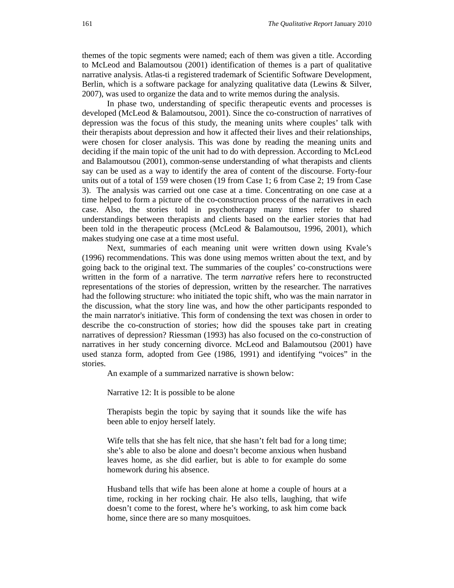themes of the topic segments were named; each of them was given a title. According to McLeod and Balamoutsou (2001) identification of themes is a part of qualitative narrative analysis. Atlas-ti a registered trademark of Scientific Software Development, Berlin, which is a software package for analyzing qualitative data (Lewins & Silver, 2007), was used to organize the data and to write memos during the analysis.

 In phase two, understanding of specific therapeutic events and processes is developed (McLeod & Balamoutsou, 2001). Since the co-construction of narratives of depression was the focus of this study, the meaning units where couples' talk with their therapists about depression and how it affected their lives and their relationships, were chosen for closer analysis. This was done by reading the meaning units and deciding if the main topic of the unit had to do with depression. According to McLeod and Balamoutsou (2001), common-sense understanding of what therapists and clients say can be used as a way to identify the area of content of the discourse. Forty-four units out of a total of 159 were chosen (19 from Case 1; 6 from Case 2; 19 from Case 3). The analysis was carried out one case at a time. Concentrating on one case at a time helped to form a picture of the co-construction process of the narratives in each case. Also, the stories told in psychotherapy many times refer to shared understandings between therapists and clients based on the earlier stories that had been told in the therapeutic process (McLeod & Balamoutsou, 1996, 2001), which makes studying one case at a time most useful.

 Next, summaries of each meaning unit were written down using Kvale's (1996) recommendations. This was done using memos written about the text, and by going back to the original text. The summaries of the couples' co-constructions were written in the form of a narrative. The term *narrative* refers here to reconstructed representations of the stories of depression, written by the researcher. The narratives had the following structure: who initiated the topic shift, who was the main narrator in the discussion, what the story line was, and how the other participants responded to the main narrator's initiative. This form of condensing the text was chosen in order to describe the co-construction of stories; how did the spouses take part in creating narratives of depression? Riessman (1993) has also focused on the co-construction of narratives in her study concerning divorce. McLeod and Balamoutsou (2001) have used stanza form, adopted from Gee (1986, 1991) and identifying "voices" in the stories.

An example of a summarized narrative is shown below:

Narrative 12: It is possible to be alone

Therapists begin the topic by saying that it sounds like the wife has been able to enjoy herself lately.

Wife tells that she has felt nice, that she hasn't felt bad for a long time; she's able to also be alone and doesn't become anxious when husband leaves home, as she did earlier, but is able to for example do some homework during his absence.

Husband tells that wife has been alone at home a couple of hours at a time, rocking in her rocking chair. He also tells, laughing, that wife doesn't come to the forest, where he's working, to ask him come back home, since there are so many mosquitoes.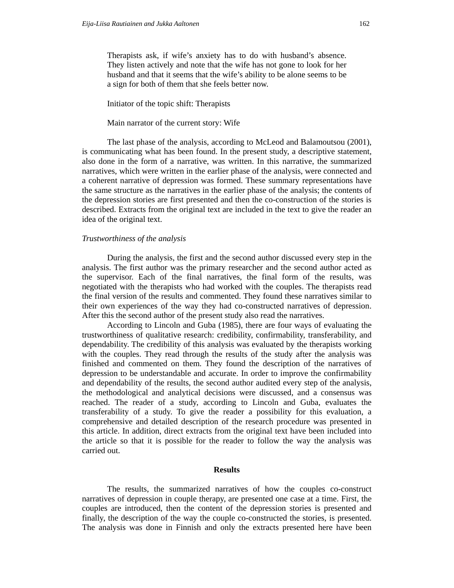Therapists ask, if wife's anxiety has to do with husband's absence. They listen actively and note that the wife has not gone to look for her husband and that it seems that the wife's ability to be alone seems to be a sign for both of them that she feels better now.

Initiator of the topic shift: Therapists

#### Main narrator of the current story: Wife

The last phase of the analysis, according to McLeod and Balamoutsou (2001), is communicating what has been found. In the present study, a descriptive statement, also done in the form of a narrative, was written. In this narrative, the summarized narratives, which were written in the earlier phase of the analysis, were connected and a coherent narrative of depression was formed. These summary representations have the same structure as the narratives in the earlier phase of the analysis; the contents of the depression stories are first presented and then the co-construction of the stories is described. Extracts from the original text are included in the text to give the reader an idea of the original text.

#### *Trustworthiness of the analysis*

During the analysis, the first and the second author discussed every step in the analysis. The first author was the primary researcher and the second author acted as the supervisor. Each of the final narratives, the final form of the results, was negotiated with the therapists who had worked with the couples. The therapists read the final version of the results and commented. They found these narratives similar to their own experiences of the way they had co-constructed narratives of depression. After this the second author of the present study also read the narratives.

According to Lincoln and Guba (1985), there are four ways of evaluating the trustworthiness of qualitative research: credibility, confirmability, transferability, and dependability. The credibility of this analysis was evaluated by the therapists working with the couples. They read through the results of the study after the analysis was finished and commented on them. They found the description of the narratives of depression to be understandable and accurate. In order to improve the confirmability and dependability of the results, the second author audited every step of the analysis, the methodological and analytical decisions were discussed, and a consensus was reached. The reader of a study, according to Lincoln and Guba, evaluates the transferability of a study. To give the reader a possibility for this evaluation, a comprehensive and detailed description of the research procedure was presented in this article. In addition, direct extracts from the original text have been included into the article so that it is possible for the reader to follow the way the analysis was carried out.

#### **Results**

 The results, the summarized narratives of how the couples co-construct narratives of depression in couple therapy, are presented one case at a time. First, the couples are introduced, then the content of the depression stories is presented and finally, the description of the way the couple co-constructed the stories, is presented. The analysis was done in Finnish and only the extracts presented here have been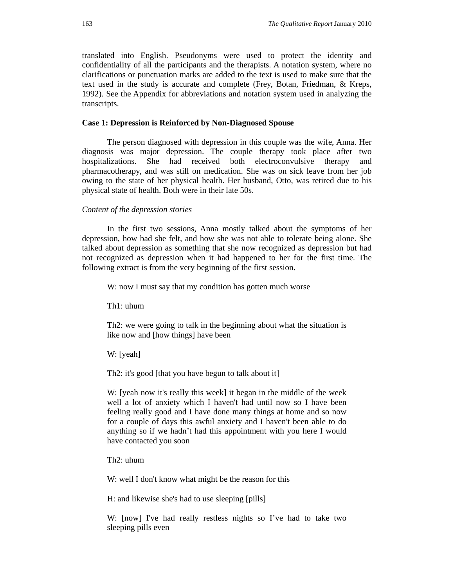translated into English. Pseudonyms were used to protect the identity and confidentiality of all the participants and the therapists. A notation system, where no clarifications or punctuation marks are added to the text is used to make sure that the text used in the study is accurate and complete (Frey, Botan, Friedman, & Kreps, 1992). See the Appendix for abbreviations and notation system used in analyzing the transcripts.

#### **Case 1: Depression is Reinforced by Non-Diagnosed Spouse**

The person diagnosed with depression in this couple was the wife, Anna. Her diagnosis was major depression. The couple therapy took place after two hospitalizations. She had received both electroconvulsive therapy and pharmacotherapy, and was still on medication. She was on sick leave from her job owing to the state of her physical health. Her husband, Otto, was retired due to his physical state of health. Both were in their late 50s.

#### *Content of the depression stories*

In the first two sessions, Anna mostly talked about the symptoms of her depression, how bad she felt, and how she was not able to tolerate being alone. She talked about depression as something that she now recognized as depression but had not recognized as depression when it had happened to her for the first time. The following extract is from the very beginning of the first session.

W: now I must say that my condition has gotten much worse

Th1: uhum

Th2: we were going to talk in the beginning about what the situation is like now and [how things] have been

W: [yeah]

Th2: it's good [that you have begun to talk about it]

W: [yeah now it's really this week] it began in the middle of the week well a lot of anxiety which I haven't had until now so I have been feeling really good and I have done many things at home and so now for a couple of days this awful anxiety and I haven't been able to do anything so if we hadn't had this appointment with you here I would have contacted you soon

Th2: uhum

W: well I don't know what might be the reason for this

H: and likewise she's had to use sleeping [pills]

W: [now] I've had really restless nights so I've had to take two sleeping pills even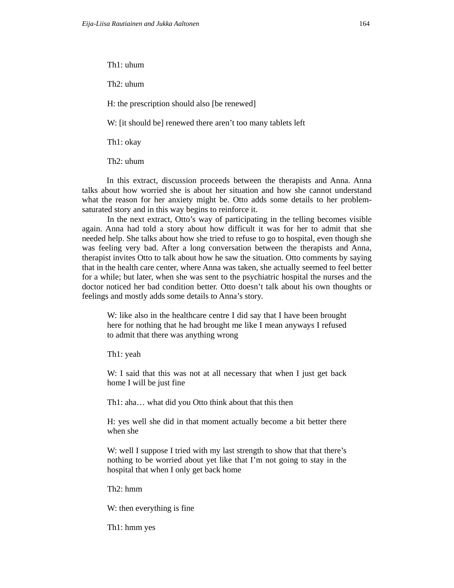Th1: uhum

Th2: uhum

H: the prescription should also [be renewed]

W: [it should be] renewed there aren't too many tablets left

Th1: okay

Th2: uhum

In this extract, discussion proceeds between the therapists and Anna. Anna talks about how worried she is about her situation and how she cannot understand what the reason for her anxiety might be. Otto adds some details to her problemsaturated story and in this way begins to reinforce it.

 In the next extract, Otto's way of participating in the telling becomes visible again. Anna had told a story about how difficult it was for her to admit that she needed help. She talks about how she tried to refuse to go to hospital, even though she was feeling very bad. After a long conversation between the therapists and Anna, therapist invites Otto to talk about how he saw the situation. Otto comments by saying that in the health care center, where Anna was taken, she actually seemed to feel better for a while; but later, when she was sent to the psychiatric hospital the nurses and the doctor noticed her bad condition better. Otto doesn't talk about his own thoughts or feelings and mostly adds some details to Anna's story.

W: like also in the healthcare centre I did say that I have been brought here for nothing that he had brought me like I mean anyways I refused to admit that there was anything wrong

Th1: yeah

W: I said that this was not at all necessary that when I just get back home I will be just fine

Th1: aha… what did you Otto think about that this then

H: yes well she did in that moment actually become a bit better there when she

W: well I suppose I tried with my last strength to show that that there's nothing to be worried about yet like that I'm not going to stay in the hospital that when I only get back home

Th2: hmm

W: then everything is fine

Th1: hmm yes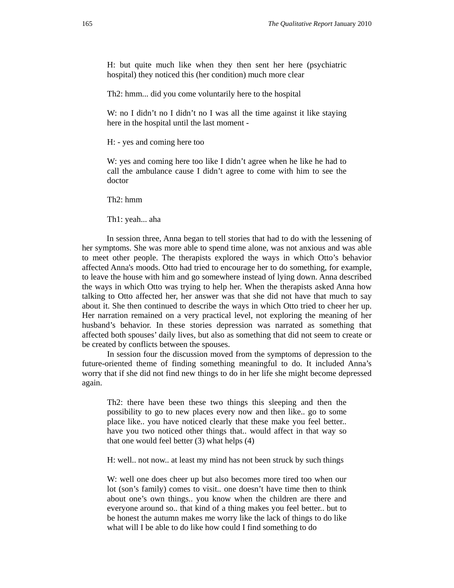H: but quite much like when they then sent her here (psychiatric hospital) they noticed this (her condition) much more clear

Th2: hmm... did you come voluntarily here to the hospital

W: no I didn't no I didn't no I was all the time against it like staying here in the hospital until the last moment -

H: - yes and coming here too

W: yes and coming here too like I didn't agree when he like he had to call the ambulance cause I didn't agree to come with him to see the doctor

Th2: hmm

Th1: yeah... aha

In session three, Anna began to tell stories that had to do with the lessening of her symptoms. She was more able to spend time alone, was not anxious and was able to meet other people. The therapists explored the ways in which Otto's behavior affected Anna's moods. Otto had tried to encourage her to do something, for example, to leave the house with him and go somewhere instead of lying down. Anna described the ways in which Otto was trying to help her. When the therapists asked Anna how talking to Otto affected her, her answer was that she did not have that much to say about it. She then continued to describe the ways in which Otto tried to cheer her up. Her narration remained on a very practical level, not exploring the meaning of her husband's behavior. In these stories depression was narrated as something that affected both spouses' daily lives, but also as something that did not seem to create or be created by conflicts between the spouses.

 In session four the discussion moved from the symptoms of depression to the future-oriented theme of finding something meaningful to do. It included Anna's worry that if she did not find new things to do in her life she might become depressed again.

Th2: there have been these two things this sleeping and then the possibility to go to new places every now and then like.. go to some place like.. you have noticed clearly that these make you feel better.. have you two noticed other things that.. would affect in that way so that one would feel better (3) what helps (4)

H: well.. not now.. at least my mind has not been struck by such things

W: well one does cheer up but also becomes more tired too when our lot (son's family) comes to visit.. one doesn't have time then to think about one's own things.. you know when the children are there and everyone around so.. that kind of a thing makes you feel better.. but to be honest the autumn makes me worry like the lack of things to do like what will I be able to do like how could I find something to do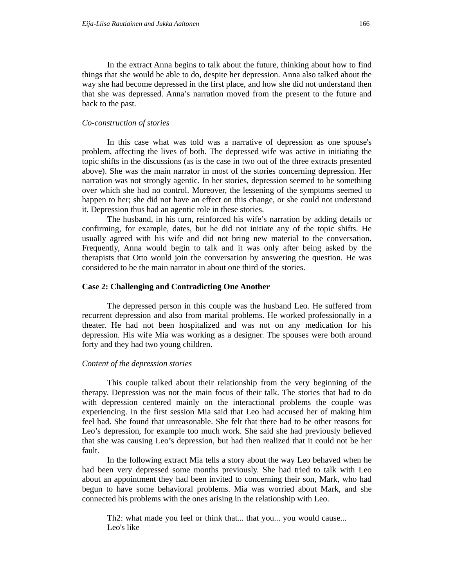In the extract Anna begins to talk about the future, thinking about how to find things that she would be able to do, despite her depression. Anna also talked about the way she had become depressed in the first place, and how she did not understand then that she was depressed. Anna's narration moved from the present to the future and back to the past.

#### *Co-construction of stories*

In this case what was told was a narrative of depression as one spouse's problem, affecting the lives of both. The depressed wife was active in initiating the topic shifts in the discussions (as is the case in two out of the three extracts presented above). She was the main narrator in most of the stories concerning depression. Her narration was not strongly agentic. In her stories, depression seemed to be something over which she had no control. Moreover, the lessening of the symptoms seemed to happen to her; she did not have an effect on this change, or she could not understand it. Depression thus had an agentic role in these stories.

 The husband, in his turn, reinforced his wife's narration by adding details or confirming, for example, dates, but he did not initiate any of the topic shifts. He usually agreed with his wife and did not bring new material to the conversation. Frequently, Anna would begin to talk and it was only after being asked by the therapists that Otto would join the conversation by answering the question. He was considered to be the main narrator in about one third of the stories.

#### **Case 2: Challenging and Contradicting One Another**

The depressed person in this couple was the husband Leo. He suffered from recurrent depression and also from marital problems. He worked professionally in a theater. He had not been hospitalized and was not on any medication for his depression. His wife Mia was working as a designer. The spouses were both around forty and they had two young children.

#### *Content of the depression stories*

This couple talked about their relationship from the very beginning of the therapy. Depression was not the main focus of their talk. The stories that had to do with depression centered mainly on the interactional problems the couple was experiencing. In the first session Mia said that Leo had accused her of making him feel bad. She found that unreasonable. She felt that there had to be other reasons for Leo's depression, for example too much work. She said she had previously believed that she was causing Leo's depression, but had then realized that it could not be her fault.

 In the following extract Mia tells a story about the way Leo behaved when he had been very depressed some months previously. She had tried to talk with Leo about an appointment they had been invited to concerning their son, Mark, who had begun to have some behavioral problems. Mia was worried about Mark, and she connected his problems with the ones arising in the relationship with Leo.

Th2: what made you feel or think that... that you... you would cause... Leo's like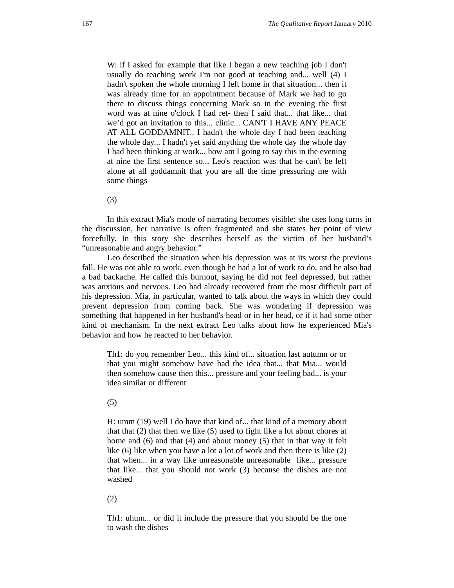W: if I asked for example that like I began a new teaching job I don't usually do teaching work I'm not good at teaching and... well (4) I hadn't spoken the whole morning I left home in that situation... then it was already time for an appointment because of Mark we had to go there to discuss things concerning Mark so in the evening the first word was at nine o'clock I had ret- then I said that... that like... that we'd got an invitation to this... clinic... CAN'T I HAVE ANY PEACE AT ALL GODDAMNIT.. I hadn't the whole day I had been teaching the whole day... I hadn't yet said anything the whole day the whole day I had been thinking at work... how am I going to say this in the evening at nine the first sentence so... Leo's reaction was that he can't be left alone at all goddamnit that you are all the time pressuring me with some things

(3)

In this extract Mia's mode of narrating becomes visible: she uses long turns in the discussion, her narrative is often fragmented and she states her point of view forcefully. In this story she describes herself as the victim of her husband's "unreasonable and angry behavior."

 Leo described the situation when his depression was at its worst the previous fall. He was not able to work, even though he had a lot of work to do, and he also had a bad backache. He called this burnout, saying he did not feel depressed, but rather was anxious and nervous. Leo had already recovered from the most difficult part of his depression. Mia, in particular, wanted to talk about the ways in which they could prevent depression from coming back. She was wondering if depression was something that happened in her husband's head or in her head, or if it had some other kind of mechanism. In the next extract Leo talks about how he experienced Mia's behavior and how he reacted to her behavior.

Th1: do you remember Leo... this kind of... situation last autumn or or that you might somehow have had the idea that... that Mia... would then somehow cause then this... pressure and your feeling bad... is your idea similar or different

(5)

H: umm (19) well I do have that kind of... that kind of a memory about that that (2) that then we like (5) used to fight like a lot about chores at home and (6) and that (4) and about money (5) that in that way it felt like (6) like when you have a lot a lot of work and then there is like (2) that when... in a way like unreasonable unreasonable like... pressure that like... that you should not work (3) because the dishes are not washed

(2)

Th1: uhum... or did it include the pressure that you should be the one to wash the dishes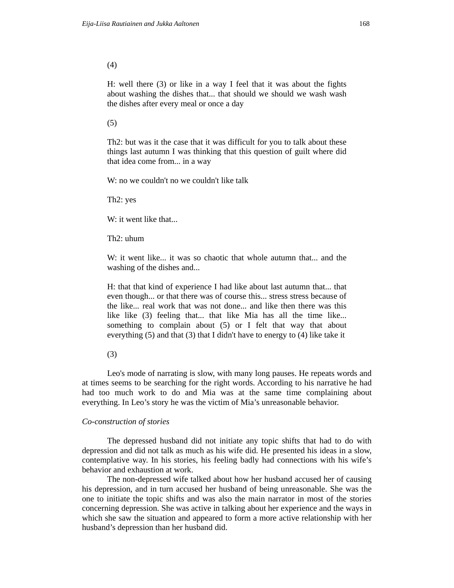(4)

H: well there (3) or like in a way I feel that it was about the fights about washing the dishes that... that should we should we wash wash the dishes after every meal or once a day

(5)

Th2: but was it the case that it was difficult for you to talk about these things last autumn I was thinking that this question of guilt where did that idea come from... in a way

W: no we couldn't no we couldn't like talk

Th2: yes

W: it went like that...

Th2: uhum

W: it went like... it was so chaotic that whole autumn that... and the washing of the dishes and...

H: that that kind of experience I had like about last autumn that... that even though... or that there was of course this... stress stress because of the like... real work that was not done... and like then there was this like like (3) feeling that... that like Mia has all the time like... something to complain about (5) or I felt that way that about everything (5) and that (3) that I didn't have to energy to (4) like take it

(3)

Leo's mode of narrating is slow, with many long pauses. He repeats words and at times seems to be searching for the right words. According to his narrative he had had too much work to do and Mia was at the same time complaining about everything. In Leo's story he was the victim of Mia's unreasonable behavior.

#### *Co-construction of stories*

The depressed husband did not initiate any topic shifts that had to do with depression and did not talk as much as his wife did. He presented his ideas in a slow, contemplative way. In his stories, his feeling badly had connections with his wife's behavior and exhaustion at work.

 The non-depressed wife talked about how her husband accused her of causing his depression, and in turn accused her husband of being unreasonable. She was the one to initiate the topic shifts and was also the main narrator in most of the stories concerning depression. She was active in talking about her experience and the ways in which she saw the situation and appeared to form a more active relationship with her husband's depression than her husband did.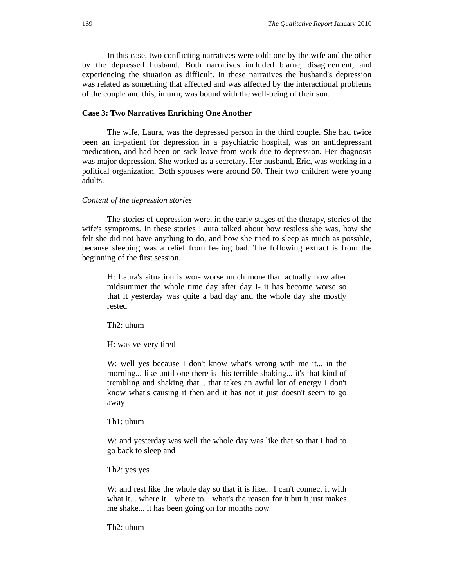In this case, two conflicting narratives were told: one by the wife and the other by the depressed husband. Both narratives included blame, disagreement, and experiencing the situation as difficult. In these narratives the husband's depression was related as something that affected and was affected by the interactional problems of the couple and this, in turn, was bound with the well-being of their son.

#### **Case 3: Two Narratives Enriching One Another**

The wife, Laura, was the depressed person in the third couple. She had twice been an in-patient for depression in a psychiatric hospital, was on antidepressant medication, and had been on sick leave from work due to depression. Her diagnosis was major depression. She worked as a secretary. Her husband, Eric, was working in a political organization. Both spouses were around 50. Their two children were young adults.

#### *Content of the depression stories*

The stories of depression were, in the early stages of the therapy, stories of the wife's symptoms. In these stories Laura talked about how restless she was, how she felt she did not have anything to do, and how she tried to sleep as much as possible, because sleeping was a relief from feeling bad. The following extract is from the beginning of the first session.

H: Laura's situation is wor- worse much more than actually now after midsummer the whole time day after day I- it has become worse so that it yesterday was quite a bad day and the whole day she mostly rested

Th2: uhum

H: was ve-very tired

W: well yes because I don't know what's wrong with me it... in the morning... like until one there is this terrible shaking... it's that kind of trembling and shaking that... that takes an awful lot of energy I don't know what's causing it then and it has not it just doesn't seem to go away

Th1: uhum

W: and yesterday was well the whole day was like that so that I had to go back to sleep and

Th2: yes yes

W: and rest like the whole day so that it is like... I can't connect it with what it... where it... where to... what's the reason for it but it just makes me shake... it has been going on for months now

Th2: uhum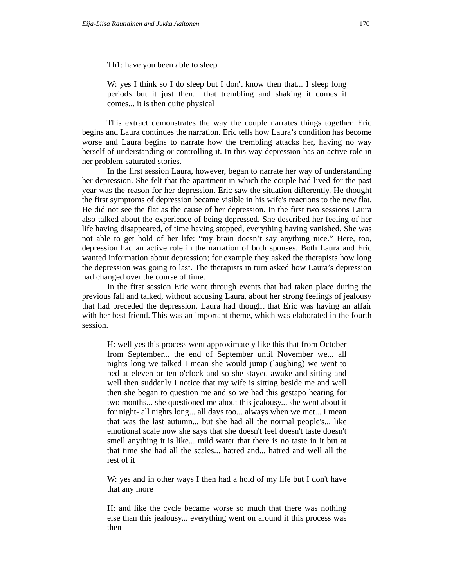Th1: have you been able to sleep

W: yes I think so I do sleep but I don't know then that... I sleep long periods but it just then... that trembling and shaking it comes it comes... it is then quite physical

This extract demonstrates the way the couple narrates things together. Eric begins and Laura continues the narration. Eric tells how Laura's condition has become worse and Laura begins to narrate how the trembling attacks her, having no way herself of understanding or controlling it. In this way depression has an active role in her problem-saturated stories.

 In the first session Laura, however, began to narrate her way of understanding her depression. She felt that the apartment in which the couple had lived for the past year was the reason for her depression. Eric saw the situation differently. He thought the first symptoms of depression became visible in his wife's reactions to the new flat. He did not see the flat as the cause of her depression. In the first two sessions Laura also talked about the experience of being depressed. She described her feeling of her life having disappeared, of time having stopped, everything having vanished. She was not able to get hold of her life: "my brain doesn't say anything nice." Here, too, depression had an active role in the narration of both spouses. Both Laura and Eric wanted information about depression; for example they asked the therapists how long the depression was going to last. The therapists in turn asked how Laura's depression had changed over the course of time.

 In the first session Eric went through events that had taken place during the previous fall and talked, without accusing Laura, about her strong feelings of jealousy that had preceded the depression. Laura had thought that Eric was having an affair with her best friend. This was an important theme, which was elaborated in the fourth session.

H: well yes this process went approximately like this that from October from September... the end of September until November we... all nights long we talked I mean she would jump (laughing) we went to bed at eleven or ten o'clock and so she stayed awake and sitting and well then suddenly I notice that my wife is sitting beside me and well then she began to question me and so we had this gestapo hearing for two months... she questioned me about this jealousy... she went about it for night- all nights long... all days too... always when we met... I mean that was the last autumn... but she had all the normal people's... like emotional scale now she says that she doesn't feel doesn't taste doesn't smell anything it is like... mild water that there is no taste in it but at that time she had all the scales... hatred and... hatred and well all the rest of it

W: yes and in other ways I then had a hold of my life but I don't have that any more

H: and like the cycle became worse so much that there was nothing else than this jealousy... everything went on around it this process was then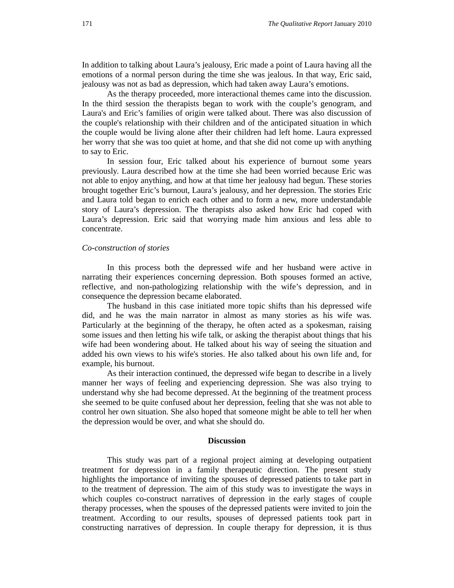In addition to talking about Laura's jealousy, Eric made a point of Laura having all the emotions of a normal person during the time she was jealous. In that way, Eric said, jealousy was not as bad as depression, which had taken away Laura's emotions.

 As the therapy proceeded, more interactional themes came into the discussion. In the third session the therapists began to work with the couple's genogram, and Laura's and Eric's families of origin were talked about. There was also discussion of the couple's relationship with their children and of the anticipated situation in which the couple would be living alone after their children had left home. Laura expressed her worry that she was too quiet at home, and that she did not come up with anything to say to Eric.

 In session four, Eric talked about his experience of burnout some years previously. Laura described how at the time she had been worried because Eric was not able to enjoy anything, and how at that time her jealousy had begun. These stories brought together Eric's burnout, Laura's jealousy, and her depression. The stories Eric and Laura told began to enrich each other and to form a new, more understandable story of Laura's depression. The therapists also asked how Eric had coped with Laura's depression. Eric said that worrying made him anxious and less able to concentrate.

#### *Co-construction of stories*

In this process both the depressed wife and her husband were active in narrating their experiences concerning depression. Both spouses formed an active, reflective, and non-pathologizing relationship with the wife's depression, and in consequence the depression became elaborated.

 The husband in this case initiated more topic shifts than his depressed wife did, and he was the main narrator in almost as many stories as his wife was. Particularly at the beginning of the therapy, he often acted as a spokesman, raising some issues and then letting his wife talk, or asking the therapist about things that his wife had been wondering about. He talked about his way of seeing the situation and added his own views to his wife's stories. He also talked about his own life and, for example, his burnout.

 As their interaction continued, the depressed wife began to describe in a lively manner her ways of feeling and experiencing depression. She was also trying to understand why she had become depressed. At the beginning of the treatment process she seemed to be quite confused about her depression, feeling that she was not able to control her own situation. She also hoped that someone might be able to tell her when the depression would be over, and what she should do.

#### **Discussion**

This study was part of a regional project aiming at developing outpatient treatment for depression in a family therapeutic direction. The present study highlights the importance of inviting the spouses of depressed patients to take part in to the treatment of depression. The aim of this study was to investigate the ways in which couples co-construct narratives of depression in the early stages of couple therapy processes, when the spouses of the depressed patients were invited to join the treatment. According to our results, spouses of depressed patients took part in constructing narratives of depression. In couple therapy for depression, it is thus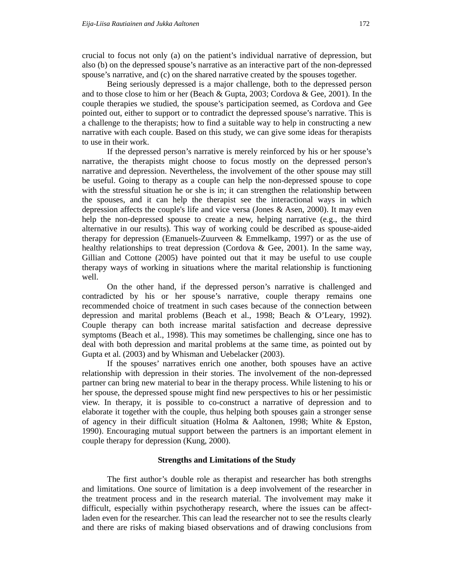crucial to focus not only (a) on the patient's individual narrative of depression, but also (b) on the depressed spouse's narrative as an interactive part of the non-depressed spouse's narrative, and (c) on the shared narrative created by the spouses together.

Being seriously depressed is a major challenge, both to the depressed person and to those close to him or her (Beach & Gupta, 2003; Cordova & Gee, 2001). In the couple therapies we studied, the spouse's participation seemed, as Cordova and Gee pointed out, either to support or to contradict the depressed spouse's narrative. This is a challenge to the therapists; how to find a suitable way to help in constructing a new narrative with each couple. Based on this study, we can give some ideas for therapists to use in their work.

If the depressed person's narrative is merely reinforced by his or her spouse's narrative, the therapists might choose to focus mostly on the depressed person's narrative and depression. Nevertheless, the involvement of the other spouse may still be useful. Going to therapy as a couple can help the non-depressed spouse to cope with the stressful situation he or she is in; it can strengthen the relationship between the spouses, and it can help the therapist see the interactional ways in which depression affects the couple's life and vice versa (Jones & Asen, 2000). It may even help the non-depressed spouse to create a new, helping narrative (e.g., the third alternative in our results). This way of working could be described as spouse-aided therapy for depression (Emanuels-Zuurveen & Emmelkamp, 1997) or as the use of healthy relationships to treat depression (Cordova & Gee, 2001). In the same way, Gillian and Cottone (2005) have pointed out that it may be useful to use couple therapy ways of working in situations where the marital relationship is functioning well.

 On the other hand, if the depressed person's narrative is challenged and contradicted by his or her spouse's narrative, couple therapy remains one recommended choice of treatment in such cases because of the connection between depression and marital problems (Beach et al., 1998; Beach & O'Leary, 1992). Couple therapy can both increase marital satisfaction and decrease depressive symptoms (Beach et al., 1998). This may sometimes be challenging, since one has to deal with both depression and marital problems at the same time, as pointed out by Gupta et al. (2003) and by Whisman and Uebelacker (2003).

 If the spouses' narratives enrich one another, both spouses have an active relationship with depression in their stories. The involvement of the non-depressed partner can bring new material to bear in the therapy process. While listening to his or her spouse, the depressed spouse might find new perspectives to his or her pessimistic view. In therapy, it is possible to co-construct a narrative of depression and to elaborate it together with the couple, thus helping both spouses gain a stronger sense of agency in their difficult situation (Holma & Aaltonen, 1998; White & Epston, 1990). Encouraging mutual support between the partners is an important element in couple therapy for depression (Kung, 2000).

#### **Strengths and Limitations of the Study**

The first author's double role as therapist and researcher has both strengths and limitations. One source of limitation is a deep involvement of the researcher in the treatment process and in the research material. The involvement may make it difficult, especially within psychotherapy research, where the issues can be affectladen even for the researcher. This can lead the researcher not to see the results clearly and there are risks of making biased observations and of drawing conclusions from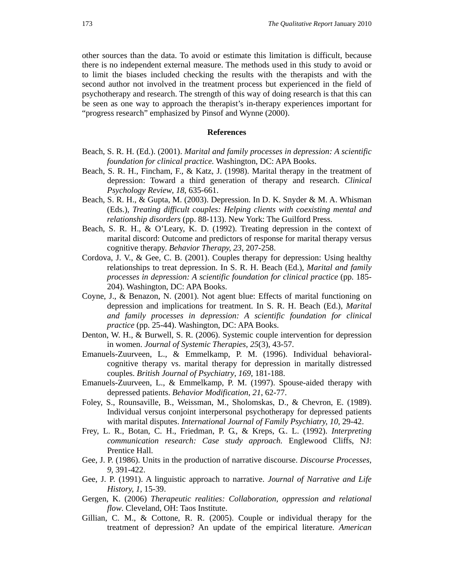other sources than the data. To avoid or estimate this limitation is difficult, because there is no independent external measure. The methods used in this study to avoid or to limit the biases included checking the results with the therapists and with the second author not involved in the treatment process but experienced in the field of psychotherapy and research. The strength of this way of doing research is that this can be seen as one way to approach the therapist's in-therapy experiences important for "progress research" emphasized by Pinsof and Wynne (2000).

#### **References**

- Beach, S. R. H. (Ed.). (2001). *Marital and family processes in depression: A scientific foundation for clinical practice.* Washington, DC: APA Books.
- Beach, S. R. H., Fincham, F., & Katz, J. (1998). Marital therapy in the treatment of depression: Toward a third generation of therapy and research. *Clinical Psychology Review*, *18*, 635-661.
- Beach, S. R. H., & Gupta, M. (2003). Depression. In D. K. Snyder & M. A. Whisman (Eds.), *Treating difficult couples: Helping clients with coexisting mental and relationship disorders* (pp. 88-113). New York: The Guilford Press.
- Beach, S. R. H., & O'Leary, K. D. (1992). Treating depression in the context of marital discord: Outcome and predictors of response for marital therapy versus cognitive therapy. *Behavior Therapy, 23*, 207-258.
- Cordova, J. V., & Gee, C. B. (2001). Couples therapy for depression: Using healthy relationships to treat depression. In S. R. H. Beach (Ed.), *Marital and family processes in depression: A scientific foundation for clinical practice* (pp. 185- 204). Washington, DC: APA Books.
- Coyne, J., & Benazon, N. (2001). Not agent blue: Effects of marital functioning on depression and implications for treatment. In S. R. H. Beach (Ed.), *Marital and family processes in depression: A scientific foundation for clinical practice* (pp. 25-44). Washington, DC: APA Books.
- Denton, W. H., & Burwell, S. R. (2006). Systemic couple intervention for depression in women. *Journal of Systemic Therapies, 25*(3), 43-57.
- Emanuels-Zuurveen, L., & Emmelkamp, P. M. (1996). Individual behavioralcognitive therapy vs. marital therapy for depression in maritally distressed couples. *British Journal of Psychiatry*, *169*, 181-188.
- Emanuels-Zuurveen, L., & Emmelkamp, P. M. (1997). Spouse-aided therapy with depressed patients. *Behavior Modification*, *21*, 62-77.
- Foley, S., Rounsaville, B., Weissman, M., Sholomskas, D., & Chevron, E. (1989). Individual versus conjoint interpersonal psychotherapy for depressed patients with marital disputes. *International Journal of Family Psychiatry, 10*, 29-42.
- Frey, L. R., Botan, C. H., Friedman, P. G., & Kreps, G.. L. (1992). *Interpreting communication research: Case study approach.* Englewood Cliffs, NJ: Prentice Hall.
- Gee, J. P. (1986). Units in the production of narrative discourse. *Discourse Processes, 9,* 391-422.
- Gee, J. P. (1991). A linguistic approach to narrative. *Journal of Narrative and Life History, 1,* 15-39.
- Gergen, K. (2006) *Therapeutic realities: Collaboration, oppression and relational flow*. Cleveland, OH: Taos Institute.
- Gillian, C. M., & Cottone, R. R. (2005). Couple or individual therapy for the treatment of depression? An update of the empirical literature. *American*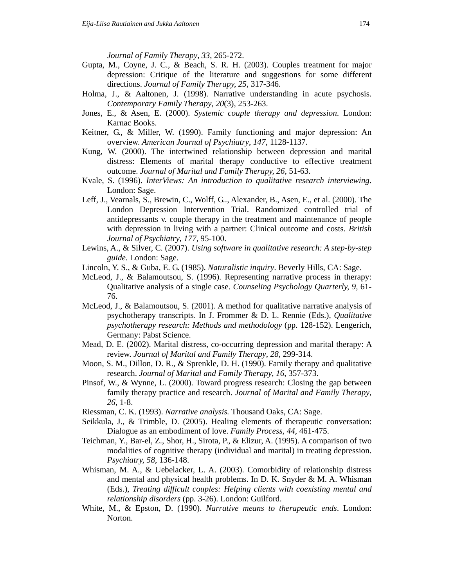*Journal of Family Therapy*, *33*, 265-272.

- Gupta, M., Coyne, J. C., & Beach, S. R. H. (2003). Couples treatment for major depression: Critique of the literature and suggestions for some different directions. *Journal of Family Therapy, 25*, 317-346.
- Holma, J., & Aaltonen, J. (1998). Narrative understanding in acute psychosis. *Contemporary Family Therapy*, *20*(3), 253-263.
- Jones, E., & Asen, E. (2000). *Systemic couple therapy and depression*. London: Karnac Books.
- Keitner, G., & Miller, W. (1990). Family functioning and major depression: An overview. *American Journal of Psychiatry*, *147*, 1128-1137.
- Kung, W. (2000). The intertwined relationship between depression and marital distress: Elements of marital therapy conductive to effective treatment outcome. *Journal of Marital and Family Therapy, 26,* 51-63.
- Kvale, S. (1996). *InterViews: An introduction to qualitative research interviewing*. London: Sage.
- Leff, J., Vearnals, S., Brewin, C., Wolff, G.., Alexander, B., Asen, E., et al. (2000). The London Depression Intervention Trial. Randomized controlled trial of antidepressants v. couple therapy in the treatment and maintenance of people with depression in living with a partner: Clinical outcome and costs. *British Journal of Psychiatry*, *177*, 95-100.
- Lewins, A., & Silver, C. (2007). *Using software in qualitative research: A step-by-step guide.* London: Sage.
- Lincoln, Y. S., & Guba, E. G. (1985). *Naturalistic inquiry*. Beverly Hills, CA: Sage.
- McLeod, J., & Balamoutsou, S. (1996). Representing narrative process in therapy: Qualitative analysis of a single case. *Counseling Psychology Quarterly, 9,* 61- 76.
- McLeod, J., & Balamoutsou, S. (2001). A method for qualitative narrative analysis of psychotherapy transcripts. In J. Frommer & D. L. Rennie (Eds.), *Qualitative psychotherapy research: Methods and methodology* (pp. 128-152). Lengerich, Germany: Pabst Science.
- Mead, D. E. (2002). Marital distress, co-occurring depression and marital therapy: A review. *Journal of Marital and Family Therapy*, *28*, 299-314.
- Moon, S. M., Dillon, D. R., & Sprenkle, D. H. (1990). Family therapy and qualitative research. *Journal of Marital and Family Therapy*, *16*, 357-373.
- Pinsof, W., & Wynne, L. (2000). Toward progress research: Closing the gap between family therapy practice and research. *Journal of Marital and Family Therapy*, *26*, 1-8.
- Riessman, C. K. (1993). *Narrative analysis.* Thousand Oaks, CA: Sage.
- Seikkula, J., & Trimble, D. (2005). Healing elements of therapeutic conversation: Dialogue as an embodiment of love. *Family Process, 44,* 461-475.
- Teichman, Y., Bar-el, Z., Shor, H., Sirota, P., & Elizur, A. (1995). A comparison of two modalities of cognitive therapy (individual and marital) in treating depression. *Psychiatry, 58*, 136-148.
- Whisman, M. A., & Uebelacker, L. A. (2003). Comorbidity of relationship distress and mental and physical health problems. In D. K. Snyder & M. A. Whisman (Eds.), *Treating difficult couples: Helping clients with coexisting mental and relationship disorders* (pp. 3-26). London: Guilford.
- White, M., & Epston, D. (1990). *Narrative means to therapeutic ends*. London: Norton.